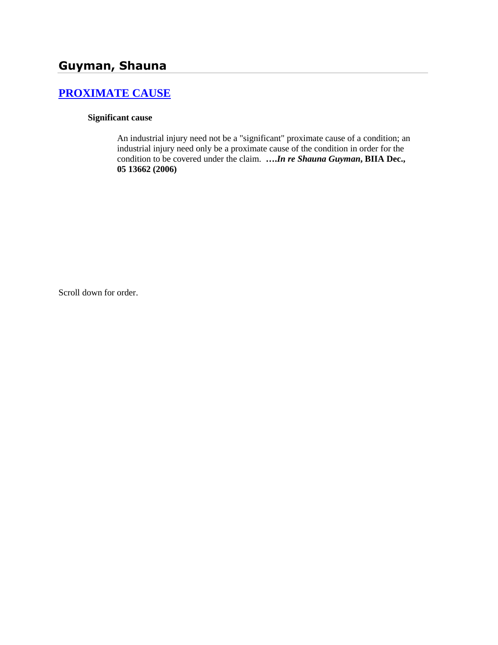# **[PROXIMATE CAUSE](http://www.biia.wa.gov/SDSubjectIndex.html#PROXIMATE_CAUSE)**

## **Significant cause**

An industrial injury need not be a "significant" proximate cause of a condition; an industrial injury need only be a proximate cause of the condition in order for the condition to be covered under the claim. **….***In re Shauna Guyman***, BIIA Dec., 05 13662 (2006)**

Scroll down for order.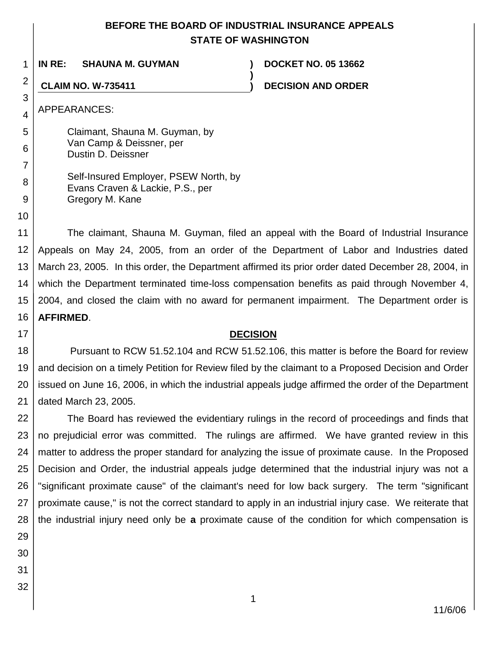## **BEFORE THE BOARD OF INDUSTRIAL INSURANCE APPEALS STATE OF WASHINGTON**

**)**

1 **IN RE: SHAUNA M. GUYMAN ) DOCKET NO. 05 13662**

**CLAIM NO. W-735411 ) DECISION AND ORDER**

APPEARANCES:

5 6 7 8 Claimant, Shauna M. Guyman, by Van Camp & Deissner, per Dustin D. Deissner Self-Insured Employer, PSEW North, by

Evans Craven & Lackie, P.S., per Gregory M. Kane

11 12 13 14 15 16 The claimant, Shauna M. Guyman, filed an appeal with the Board of Industrial Insurance Appeals on May 24, 2005, from an order of the Department of Labor and Industries dated March 23, 2005. In this order, the Department affirmed its prior order dated December 28, 2004, in which the Department terminated time-loss compensation benefits as paid through November 4, 2004, and closed the claim with no award for permanent impairment. The Department order is **AFFIRMED**.

## 17

2

3

4

9

10

## **DECISION**

18 19 20 21 Pursuant to RCW 51.52.104 and RCW 51.52.106, this matter is before the Board for review and decision on a timely Petition for Review filed by the claimant to a Proposed Decision and Order issued on June 16, 2006, in which the industrial appeals judge affirmed the order of the Department dated March 23, 2005.

22 23 24 25 26 27 28 The Board has reviewed the evidentiary rulings in the record of proceedings and finds that no prejudicial error was committed. The rulings are affirmed. We have granted review in this matter to address the proper standard for analyzing the issue of proximate cause. In the Proposed Decision and Order, the industrial appeals judge determined that the industrial injury was not a "significant proximate cause" of the claimant's need for low back surgery. The term "significant proximate cause," is not the correct standard to apply in an industrial injury case. We reiterate that the industrial injury need only be **a** proximate cause of the condition for which compensation is

- 29 30
- 31
- 32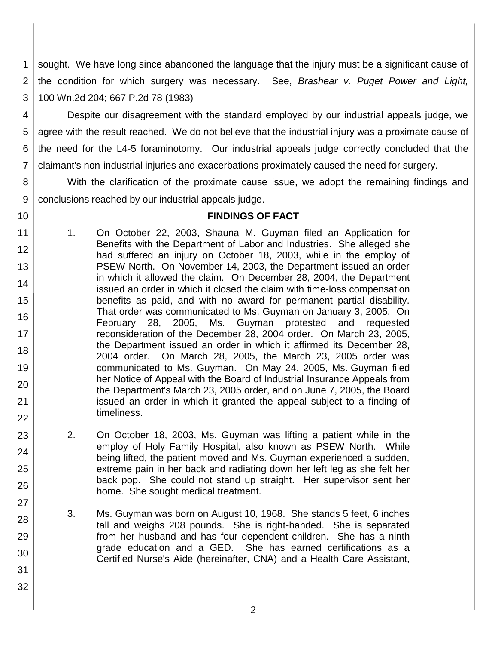1 2 3 sought. We have long since abandoned the language that the injury must be a significant cause of the condition for which surgery was necessary. See, *Brashear v. Puget Power and Light,*  100 Wn.2d 204; 667 P.2d 78 (1983)

4 5 6 7 Despite our disagreement with the standard employed by our industrial appeals judge, we agree with the result reached. We do not believe that the industrial injury was a proximate cause of the need for the L4-5 foraminotomy. Our industrial appeals judge correctly concluded that the claimant's non-industrial injuries and exacerbations proximately caused the need for surgery.

8 9 With the clarification of the proximate cause issue, we adopt the remaining findings and conclusions reached by our industrial appeals judge.

10

23

24

25

26

27

28

29

30

31

32

## **FINDINGS OF FACT**

- 11 12 13 14 15 16 17 18 19 20 21 22 1. On October 22, 2003, Shauna M. Guyman filed an Application for Benefits with the Department of Labor and Industries. She alleged she had suffered an injury on October 18, 2003, while in the employ of PSEW North. On November 14, 2003, the Department issued an order in which it allowed the claim. On December 28, 2004, the Department issued an order in which it closed the claim with time-loss compensation benefits as paid, and with no award for permanent partial disability. That order was communicated to Ms. Guyman on January 3, 2005. On February 28, 2005, Ms. Guyman protested and requested reconsideration of the December 28, 2004 order. On March 23, 2005, the Department issued an order in which it affirmed its December 28, 2004 order. On March 28, 2005, the March 23, 2005 order was communicated to Ms. Guyman. On May 24, 2005, Ms. Guyman filed her Notice of Appeal with the Board of Industrial Insurance Appeals from the Department's March 23, 2005 order, and on June 7, 2005, the Board issued an order in which it granted the appeal subject to a finding of timeliness.
	- 2. On October 18, 2003, Ms. Guyman was lifting a patient while in the employ of Holy Family Hospital, also known as PSEW North. While being lifted, the patient moved and Ms. Guyman experienced a sudden, extreme pain in her back and radiating down her left leg as she felt her back pop. She could not stand up straight. Her supervisor sent her home. She sought medical treatment.
		- 3. Ms. Guyman was born on August 10, 1968. She stands 5 feet, 6 inches tall and weighs 208 pounds. She is right-handed. She is separated from her husband and has four dependent children. She has a ninth grade education and a GED. She has earned certifications as a Certified Nurse's Aide (hereinafter, CNA) and a Health Care Assistant,
			- 2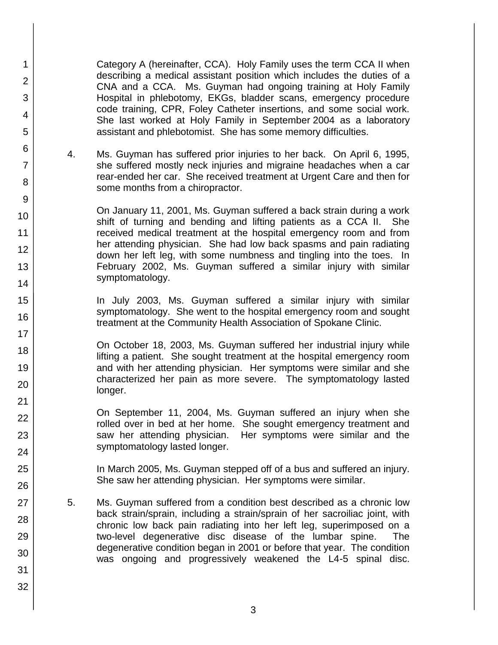Category A (hereinafter, CCA). Holy Family uses the term CCA II when describing a medical assistant position which includes the duties of a CNA and a CCA. Ms. Guyman had ongoing training at Holy Family Hospital in phlebotomy, EKGs, bladder scans, emergency procedure code training, CPR, Foley Catheter insertions, and some social work. She last worked at Holy Family in September 2004 as a laboratory assistant and phlebotomist. She has some memory difficulties.

4. Ms. Guyman has suffered prior injuries to her back. On April 6, 1995, she suffered mostly neck injuries and migraine headaches when a car rear-ended her car. She received treatment at Urgent Care and then for some months from a chiropractor.

1

2

3

4

5

6

7

8

9

10

11 12

13

14

15

16

17 18

19

20

21 22

23

24

25

26

27

28

29

30

31

32

On January 11, 2001, Ms. Guyman suffered a back strain during a work shift of turning and bending and lifting patients as a CCA II. She received medical treatment at the hospital emergency room and from her attending physician. She had low back spasms and pain radiating down her left leg, with some numbness and tingling into the toes. In February 2002, Ms. Guyman suffered a similar injury with similar symptomatology.

In July 2003, Ms. Guyman suffered a similar injury with similar symptomatology. She went to the hospital emergency room and sought treatment at the Community Health Association of Spokane Clinic.

On October 18, 2003, Ms. Guyman suffered her industrial injury while lifting a patient. She sought treatment at the hospital emergency room and with her attending physician. Her symptoms were similar and she characterized her pain as more severe. The symptomatology lasted longer.

On September 11, 2004, Ms. Guyman suffered an injury when she rolled over in bed at her home. She sought emergency treatment and saw her attending physician. Her symptoms were similar and the symptomatology lasted longer.

In March 2005, Ms. Guyman stepped off of a bus and suffered an injury. She saw her attending physician. Her symptoms were similar.

- 5. Ms. Guyman suffered from a condition best described as a chronic low back strain/sprain, including a strain/sprain of her sacroiliac joint, with chronic low back pain radiating into her left leg, superimposed on a two-level degenerative disc disease of the lumbar spine. The degenerative condition began in 2001 or before that year. The condition was ongoing and progressively weakened the L4-5 spinal disc.
	- 3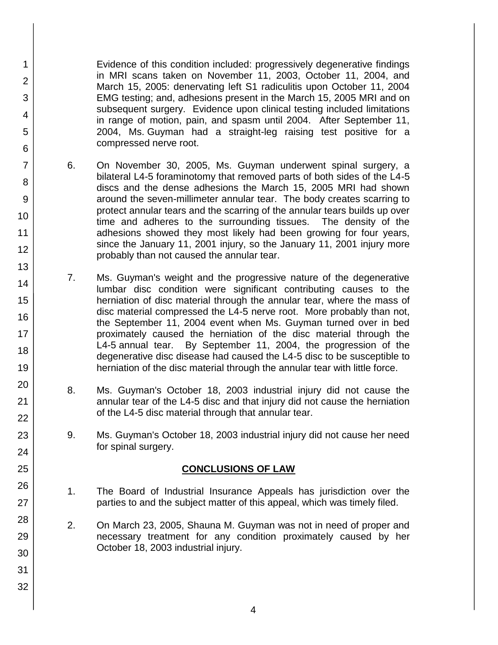Evidence of this condition included: progressively degenerative findings in MRI scans taken on November 11, 2003, October 11, 2004, and March 15, 2005: denervating left S1 radiculitis upon October 11, 2004 EMG testing; and, adhesions present in the March 15, 2005 MRI and on subsequent surgery. Evidence upon clinical testing included limitations in range of motion, pain, and spasm until 2004. After September 11, 2004, Ms. Guyman had a straight-leg raising test positive for a compressed nerve root.

1

2

3

4

5

6

7

8

9

10

11

12

13

14

15

16

17 18

19

20

21 22

23

24

25

26

27

28

29

30

31

32

- 6. On November 30, 2005, Ms. Guyman underwent spinal surgery, a bilateral L4-5 foraminotomy that removed parts of both sides of the L4-5 discs and the dense adhesions the March 15, 2005 MRI had shown around the seven-millimeter annular tear. The body creates scarring to protect annular tears and the scarring of the annular tears builds up over time and adheres to the surrounding tissues. The density of the adhesions showed they most likely had been growing for four years, since the January 11, 2001 injury, so the January 11, 2001 injury more probably than not caused the annular tear.
- 7. Ms. Guyman's weight and the progressive nature of the degenerative lumbar disc condition were significant contributing causes to the herniation of disc material through the annular tear, where the mass of disc material compressed the L4-5 nerve root. More probably than not, the September 11, 2004 event when Ms. Guyman turned over in bed proximately caused the herniation of the disc material through the L4-5 annual tear. By September 11, 2004, the progression of the degenerative disc disease had caused the L4-5 disc to be susceptible to herniation of the disc material through the annular tear with little force.
- 8. Ms. Guyman's October 18, 2003 industrial injury did not cause the annular tear of the L4-5 disc and that injury did not cause the herniation of the L4-5 disc material through that annular tear.
- 9. Ms. Guyman's October 18, 2003 industrial injury did not cause her need for spinal surgery.

## **CONCLUSIONS OF LAW**

- 1. The Board of Industrial Insurance Appeals has jurisdiction over the parties to and the subject matter of this appeal, which was timely filed.
- 2. On March 23, 2005, Shauna M. Guyman was not in need of proper and necessary treatment for any condition proximately caused by her October 18, 2003 industrial injury.
	- 4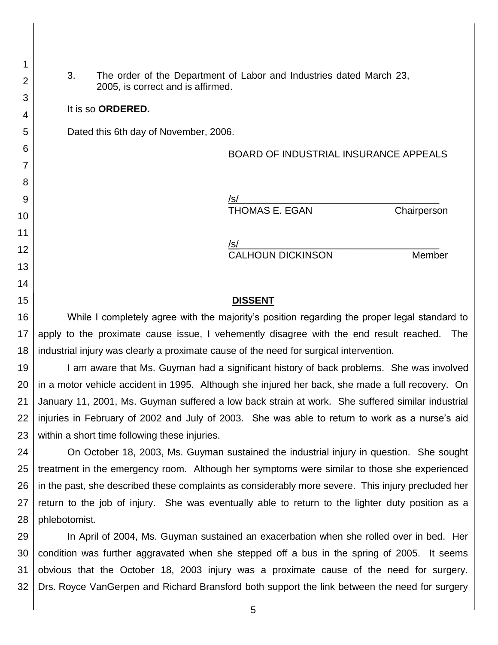3. The order of the Department of Labor and Industries dated March 23, 2005, is correct and is affirmed.

#### It is so **ORDERED.**

1

2

3

4

5

6

7

8

9

10

11 12

13

14

15

Dated this 6th day of November, 2006.

## BOARD OF INDUSTRIAL INSURANCE APPEALS

/s/\_\_\_\_\_\_\_\_\_\_\_\_\_\_\_\_\_\_\_\_\_\_\_\_\_\_\_\_\_\_\_\_\_\_\_\_\_ THOMAS E. EGAN Chairperson

/s/\_\_\_\_\_\_\_\_\_\_\_\_\_\_\_\_\_\_\_\_\_\_\_\_\_\_\_\_\_\_\_\_\_\_\_\_\_ CALHOUN DICKINSON Member

#### **DISSENT**

16 17 18 While I completely agree with the majority's position regarding the proper legal standard to apply to the proximate cause issue, I vehemently disagree with the end result reached. The industrial injury was clearly a proximate cause of the need for surgical intervention.

19 20 21 22 23 I am aware that Ms. Guyman had a significant history of back problems. She was involved in a motor vehicle accident in 1995. Although she injured her back, she made a full recovery. On January 11, 2001, Ms. Guyman suffered a low back strain at work. She suffered similar industrial injuries in February of 2002 and July of 2003. She was able to return to work as a nurse's aid within a short time following these injuries.

24 25 26 27 28 On October 18, 2003, Ms. Guyman sustained the industrial injury in question. She sought treatment in the emergency room. Although her symptoms were similar to those she experienced in the past, she described these complaints as considerably more severe. This injury precluded her return to the job of injury. She was eventually able to return to the lighter duty position as a phlebotomist.

29 30 31 32 In April of 2004, Ms. Guyman sustained an exacerbation when she rolled over in bed. Her condition was further aggravated when she stepped off a bus in the spring of 2005. It seems obvious that the October 18, 2003 injury was a proximate cause of the need for surgery. Drs. Royce VanGerpen and Richard Bransford both support the link between the need for surgery